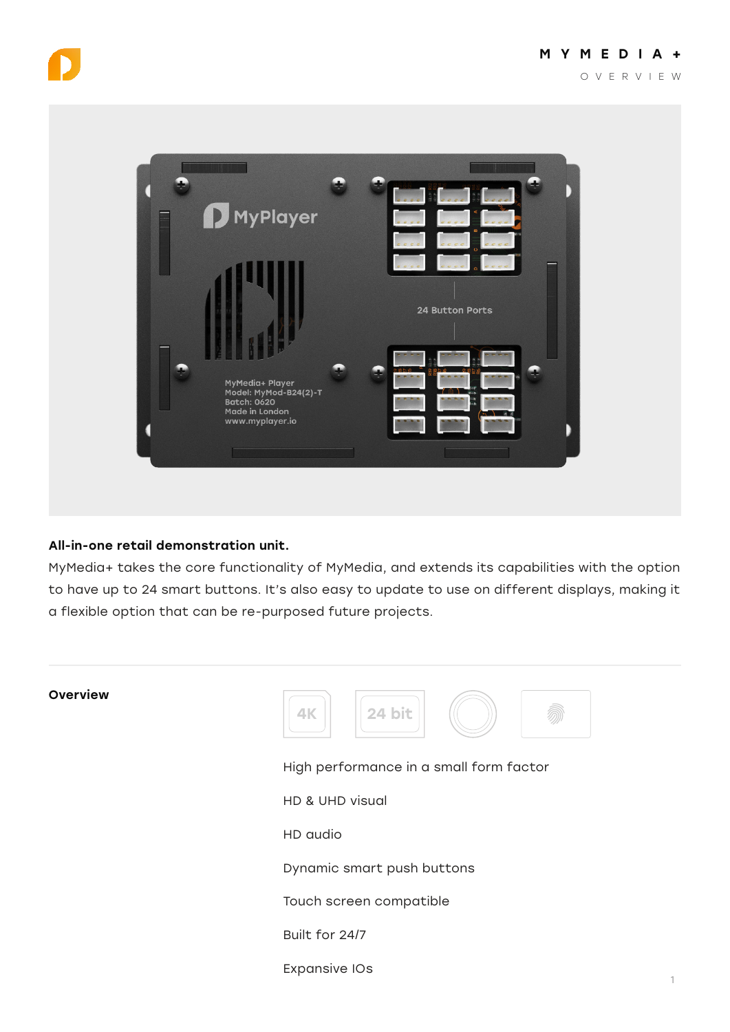



## All-in-one retail demonstration unit.

MyMedia+ takes the core functionality of MyMedia, and extends its capabilities with the option to have up to 24 smart buttons. It's also easy to update to use on different displays, making it a flexible option that can be re-purposed future projects.

| Overview |
|----------|
|          |



High performance in a small form factor

HD & UHD visual

HD audio

Dynamic smart push buttons

Touch screen compatible

Built for 24/7

Expansive IOs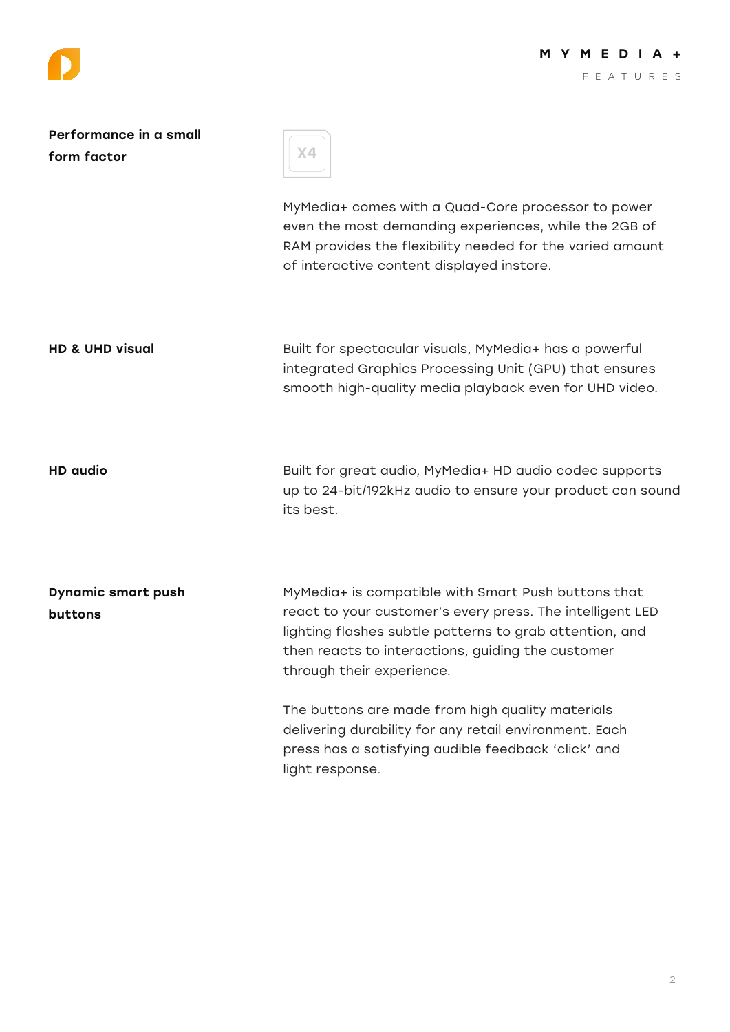

| Performance in a small<br>form factor | Χ4                                                                                                                                                                                                                                                            |
|---------------------------------------|---------------------------------------------------------------------------------------------------------------------------------------------------------------------------------------------------------------------------------------------------------------|
|                                       | MyMedia+ comes with a Quad-Core processor to power<br>even the most demanding experiences, while the 2GB of<br>RAM provides the flexibility needed for the varied amount<br>of interactive content displayed instore.                                         |
| <b>HD &amp; UHD visual</b>            | Built for spectacular visuals, MyMedia+ has a powerful<br>integrated Graphics Processing Unit (GPU) that ensures<br>smooth high-quality media playback even for UHD video.                                                                                    |
| <b>HD</b> audio                       | Built for great audio, MyMedia+ HD audio codec supports<br>up to 24-bit/192kHz audio to ensure your product can sound<br>its best.                                                                                                                            |
| <b>Dynamic smart push</b><br>buttons  | MyMedia+ is compatible with Smart Push buttons that<br>react to your customer's every press. The intelligent LED<br>lighting flashes subtle patterns to grab attention, and<br>then reacts to interactions, guiding the customer<br>through their experience. |
|                                       | The buttons are made from high quality materials<br>delivering durability for any retail environment. Each<br>press has a satisfying audible feedback 'click' and<br>light response.                                                                          |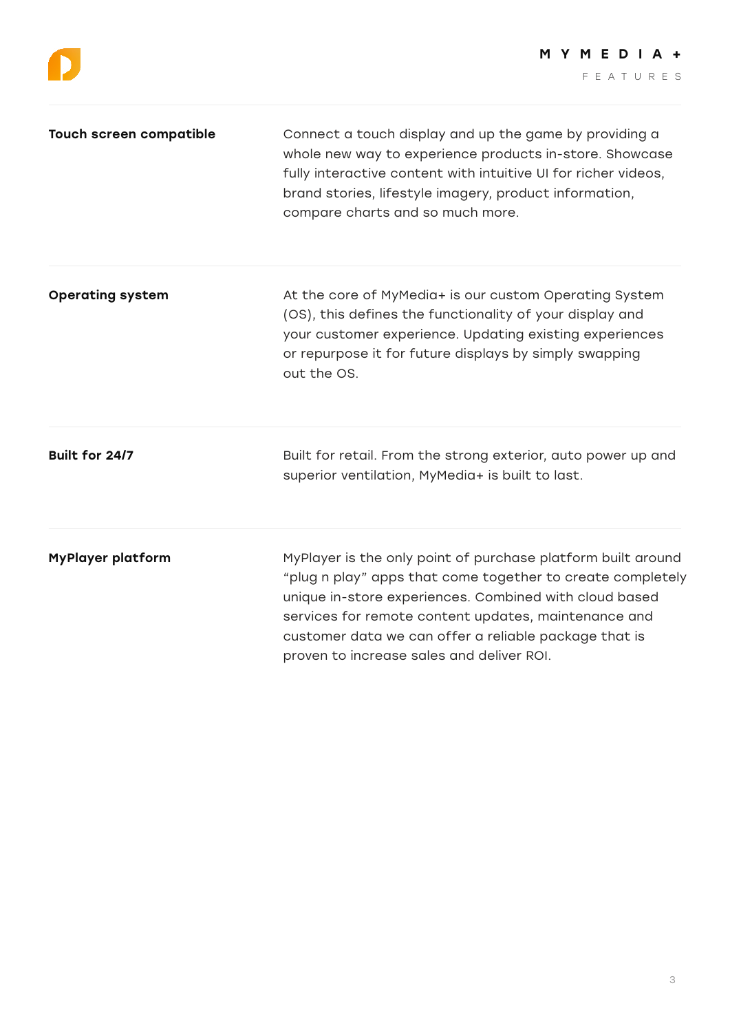| <b>Touch screen compatible</b> | Connect a touch display and up the game by providing a<br>whole new way to experience products in-store. Showcase<br>fully interactive content with intuitive UI for richer videos,<br>brand stories, lifestyle imagery, product information,<br>compare charts and so much more.                                                                  |
|--------------------------------|----------------------------------------------------------------------------------------------------------------------------------------------------------------------------------------------------------------------------------------------------------------------------------------------------------------------------------------------------|
| <b>Operating system</b>        | At the core of MyMedia+ is our custom Operating System<br>(OS), this defines the functionality of your display and<br>your customer experience. Updating existing experiences<br>or repurpose it for future displays by simply swapping<br>out the OS.                                                                                             |
| Built for 24/7                 | Built for retail. From the strong exterior, auto power up and<br>superior ventilation, MyMedia+ is built to last.                                                                                                                                                                                                                                  |
| <b>MyPlayer platform</b>       | MyPlayer is the only point of purchase platform built around<br>"plug n play" apps that come together to create completely<br>unique in-store experiences. Combined with cloud based<br>services for remote content updates, maintenance and<br>customer data we can offer a reliable package that is<br>proven to increase sales and deliver ROI. |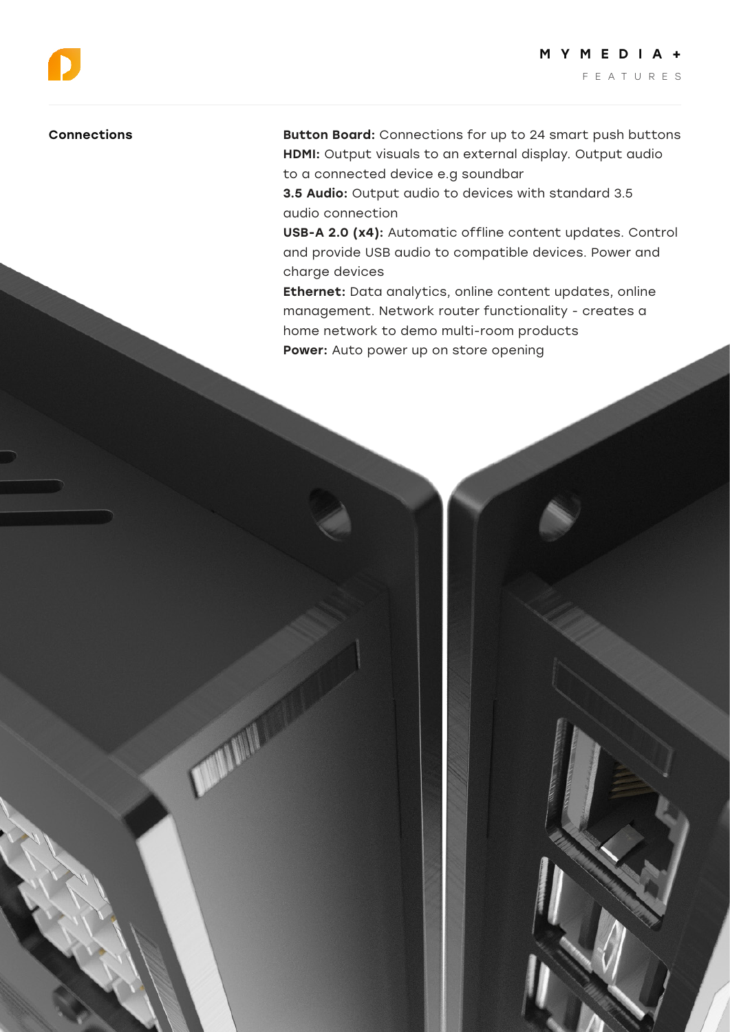4

## Connections

O

D

Button Board: Connections for up to 24 smart push buttons HDMI: Output visuals to an external display. Output audio to a connected device e.g soundbar

3.5 Audio: Output audio to devices with standard 3.5 audio connection

USB-A 2.0 (x4): Automatic offline content updates. Control and provide USB audio to compatible devices. Power and charge devices

Ethernet: Data analytics, online content updates, online management. Network router functionality - creates a home network to demo multi-room products Power: Auto power up on store opening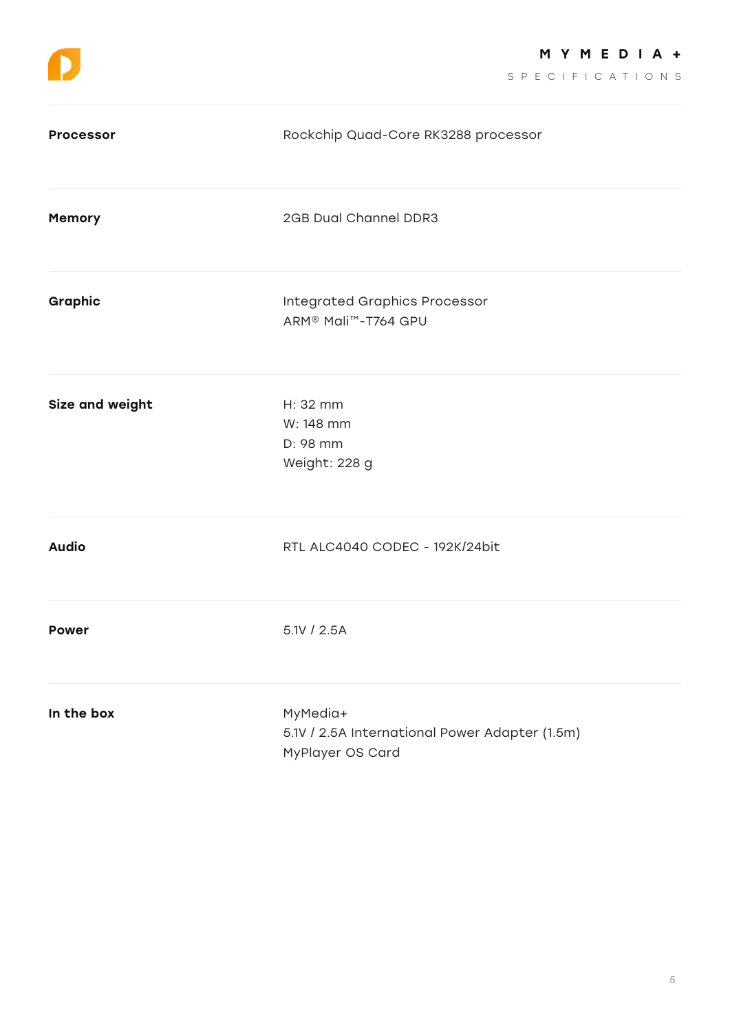SPECIFICATIONS

| <b>Processor</b> | Rockchip Quad-Core RK3288 processor                                            |
|------------------|--------------------------------------------------------------------------------|
| Memory           | 2GB Dual Channel DDR3                                                          |
| Graphic          | Integrated Graphics Processor<br>ARM <sup>®</sup> Mali <sup>™</sup> -T764 GPU  |
| Size and weight  | H: 32 mm<br>W: 148 mm<br>D: 98 mm<br>Weight: 228 g                             |
| <b>Audio</b>     | RTL ALC4040 CODEC - 192K/24bit                                                 |
| <b>Power</b>     | 5.1V / 2.5A                                                                    |
| In the box       | MyMedia+<br>5.1V / 2.5A International Power Adapter (1.5m)<br>MyPlayer OS Card |